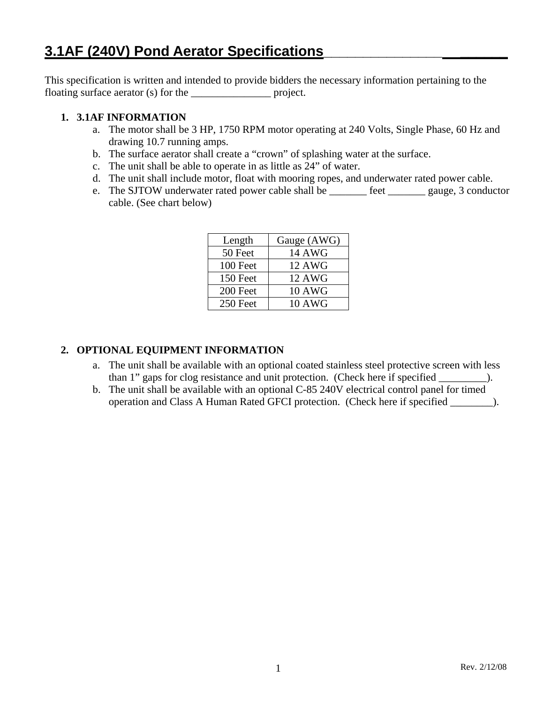This specification is written and intended to provide bidders the necessary information pertaining to the floating surface aerator (s) for the \_\_\_\_\_\_\_\_\_\_\_\_\_\_\_\_\_\_\_ project.

## **1. 3.1AF INFORMATION**

- a. The motor shall be 3 HP, 1750 RPM motor operating at 240 Volts, Single Phase, 60 Hz and drawing 10.7 running amps.
- b. The surface aerator shall create a "crown" of splashing water at the surface.
- c. The unit shall be able to operate in as little as 24" of water.
- d. The unit shall include motor, float with mooring ropes, and underwater rated power cable.
- e. The SJTOW underwater rated power cable shall be \_\_\_\_\_\_\_ feet \_\_\_\_\_\_\_ gauge, 3 conductor cable. (See chart below)

| Length   | Gauge (AWG)   |
|----------|---------------|
| 50 Feet  | <b>14 AWG</b> |
| 100 Feet | <b>12 AWG</b> |
| 150 Feet | <b>12 AWG</b> |
| 200 Feet | <b>10 AWG</b> |
| 250 Feet | <b>10 AWG</b> |

# **2. OPTIONAL EQUIPMENT INFORMATION**

- a. The unit shall be available with an optional coated stainless steel protective screen with less than 1" gaps for clog resistance and unit protection. (Check here if specified \_\_\_\_\_\_\_\_\_).
- b. The unit shall be available with an optional C-85 240V electrical control panel for timed operation and Class A Human Rated GFCI protection. (Check here if specified \_\_\_\_\_\_\_\_).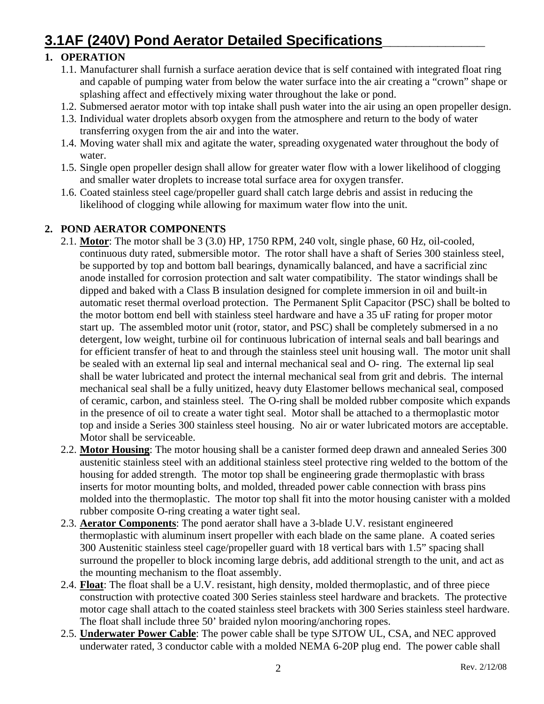# **3.1AF (240V) Pond Aerator Detailed Specifications\_\_\_\_\_\_\_\_\_\_\_\_\_**

# **1. OPERATION**

- 1.1. Manufacturer shall furnish a surface aeration device that is self contained with integrated float ring and capable of pumping water from below the water surface into the air creating a "crown" shape or splashing affect and effectively mixing water throughout the lake or pond.
- 1.2. Submersed aerator motor with top intake shall push water into the air using an open propeller design.
- 1.3. Individual water droplets absorb oxygen from the atmosphere and return to the body of water transferring oxygen from the air and into the water.
- 1.4. Moving water shall mix and agitate the water, spreading oxygenated water throughout the body of water.
- 1.5. Single open propeller design shall allow for greater water flow with a lower likelihood of clogging and smaller water droplets to increase total surface area for oxygen transfer.
- 1.6. Coated stainless steel cage/propeller guard shall catch large debris and assist in reducing the likelihood of clogging while allowing for maximum water flow into the unit.

# **2. POND AERATOR COMPONENTS**

- 2.1. **Motor**: The motor shall be 3 (3.0) HP, 1750 RPM, 240 volt, single phase, 60 Hz, oil-cooled, continuous duty rated, submersible motor. The rotor shall have a shaft of Series 300 stainless steel, be supported by top and bottom ball bearings, dynamically balanced, and have a sacrificial zinc anode installed for corrosion protection and salt water compatibility. The stator windings shall be dipped and baked with a Class B insulation designed for complete immersion in oil and built-in automatic reset thermal overload protection. The Permanent Split Capacitor (PSC) shall be bolted to the motor bottom end bell with stainless steel hardware and have a 35 uF rating for proper motor start up. The assembled motor unit (rotor, stator, and PSC) shall be completely submersed in a no detergent, low weight, turbine oil for continuous lubrication of internal seals and ball bearings and for efficient transfer of heat to and through the stainless steel unit housing wall. The motor unit shall be sealed with an external lip seal and internal mechanical seal and O- ring. The external lip seal shall be water lubricated and protect the internal mechanical seal from grit and debris. The internal mechanical seal shall be a fully unitized, heavy duty Elastomer bellows mechanical seal, composed of ceramic, carbon, and stainless steel. The O-ring shall be molded rubber composite which expands in the presence of oil to create a water tight seal. Motor shall be attached to a thermoplastic motor top and inside a Series 300 stainless steel housing. No air or water lubricated motors are acceptable. Motor shall be serviceable.
- 2.2. **Motor Housing**: The motor housing shall be a canister formed deep drawn and annealed Series 300 austenitic stainless steel with an additional stainless steel protective ring welded to the bottom of the housing for added strength. The motor top shall be engineering grade thermoplastic with brass inserts for motor mounting bolts, and molded, threaded power cable connection with brass pins molded into the thermoplastic. The motor top shall fit into the motor housing canister with a molded rubber composite O-ring creating a water tight seal.
- 2.3. **Aerator Components**: The pond aerator shall have a 3-blade U.V. resistant engineered thermoplastic with aluminum insert propeller with each blade on the same plane. A coated series 300 Austenitic stainless steel cage/propeller guard with 18 vertical bars with 1.5" spacing shall surround the propeller to block incoming large debris, add additional strength to the unit, and act as the mounting mechanism to the float assembly.
- 2.4. **Float**: The float shall be a U.V. resistant, high density, molded thermoplastic, and of three piece construction with protective coated 300 Series stainless steel hardware and brackets. The protective motor cage shall attach to the coated stainless steel brackets with 300 Series stainless steel hardware. The float shall include three 50' braided nylon mooring/anchoring ropes.
- 2.5. **Underwater Power Cable**: The power cable shall be type SJTOW UL, CSA, and NEC approved underwater rated, 3 conductor cable with a molded NEMA 6-20P plug end. The power cable shall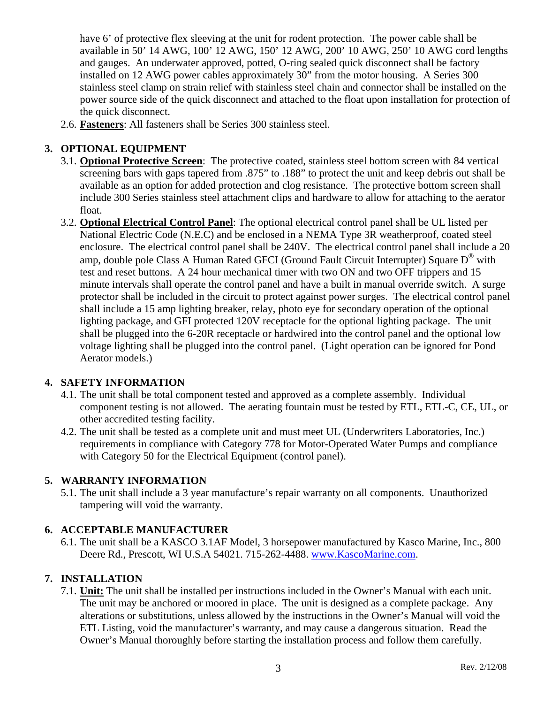have 6' of protective flex sleeving at the unit for rodent protection. The power cable shall be available in 50' 14 AWG, 100' 12 AWG, 150' 12 AWG, 200' 10 AWG, 250' 10 AWG cord lengths and gauges. An underwater approved, potted, O-ring sealed quick disconnect shall be factory installed on 12 AWG power cables approximately 30" from the motor housing. A Series 300 stainless steel clamp on strain relief with stainless steel chain and connector shall be installed on the power source side of the quick disconnect and attached to the float upon installation for protection of the quick disconnect.

2.6. **Fasteners**: All fasteners shall be Series 300 stainless steel.

## **3. OPTIONAL EQUIPMENT**

- 3.1. **Optional Protective Screen**: The protective coated, stainless steel bottom screen with 84 vertical screening bars with gaps tapered from .875" to .188" to protect the unit and keep debris out shall be available as an option for added protection and clog resistance. The protective bottom screen shall include 300 Series stainless steel attachment clips and hardware to allow for attaching to the aerator float.
- 3.2. **Optional Electrical Control Panel**: The optional electrical control panel shall be UL listed per National Electric Code (N.E.C) and be enclosed in a NEMA Type 3R weatherproof, coated steel enclosure. The electrical control panel shall be 240V. The electrical control panel shall include a 20 amp, double pole Class A Human Rated GFCI (Ground Fault Circuit Interrupter) Square  $D^{\circledast}$  with test and reset buttons. A 24 hour mechanical timer with two ON and two OFF trippers and 15 minute intervals shall operate the control panel and have a built in manual override switch. A surge protector shall be included in the circuit to protect against power surges. The electrical control panel shall include a 15 amp lighting breaker, relay, photo eye for secondary operation of the optional lighting package, and GFI protected 120V receptacle for the optional lighting package. The unit shall be plugged into the 6-20R receptacle or hardwired into the control panel and the optional low voltage lighting shall be plugged into the control panel. (Light operation can be ignored for Pond Aerator models.)

### **4. SAFETY INFORMATION**

- 4.1. The unit shall be total component tested and approved as a complete assembly. Individual component testing is not allowed. The aerating fountain must be tested by ETL, ETL-C, CE, UL, or other accredited testing facility.
- 4.2. The unit shall be tested as a complete unit and must meet UL (Underwriters Laboratories, Inc.) requirements in compliance with Category 778 for Motor-Operated Water Pumps and compliance with Category 50 for the Electrical Equipment (control panel).

### **5. WARRANTY INFORMATION**

5.1. The unit shall include a 3 year manufacture's repair warranty on all components. Unauthorized tampering will void the warranty.

### **6. ACCEPTABLE MANUFACTURER**

6.1. The unit shall be a KASCO 3.1AF Model, 3 horsepower manufactured by Kasco Marine, Inc., 800 Deere Rd., Prescott, WI U.S.A 54021. 715-262-4488. www.KascoMarine.com.

### **7. INSTALLATION**

7.1. **Unit:** The unit shall be installed per instructions included in the Owner's Manual with each unit. The unit may be anchored or moored in place. The unit is designed as a complete package. Any alterations or substitutions, unless allowed by the instructions in the Owner's Manual will void the ETL Listing, void the manufacturer's warranty, and may cause a dangerous situation. Read the Owner's Manual thoroughly before starting the installation process and follow them carefully.